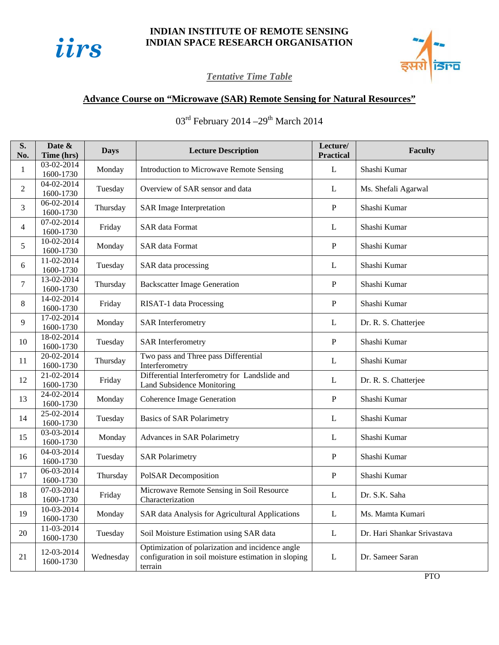

## **INDIAN INSTITUTE OF REMOTE SENSING INDIAN SPACE RESEARCH ORGANISATION**



## *Tentative Time Table*

## **Advance Course on "Microwave (SAR) Remote Sensing for Natural Resources"**

 $03^{\text{rd}}$  February 2014 – 29<sup>th</sup> March 2014

| 03-02-2014<br>$\mathbf{L}$<br>Shashi Kumar<br>Monday<br>Introduction to Microwave Remote Sensing<br>$\mathbf{1}$<br>1600-1730<br>04-02-2014<br>$\overline{c}$<br>Tuesday<br>Overview of SAR sensor and data<br>L<br>Ms. Shefali Agarwal<br>1600-1730<br>06-02-2014<br>${\bf P}$<br>Shashi Kumar<br>3<br>Thursday<br><b>SAR Image Interpretation</b><br>1600-1730<br>07-02-2014<br><b>SAR</b> data Format<br>Shashi Kumar<br>Friday<br>4<br>L<br>1600-1730<br>10-02-2014<br>5<br><b>SAR</b> data Format<br>${\bf P}$<br>Shashi Kumar<br>Monday<br>1600-1730<br>11-02-2014<br>Shashi Kumar<br>Tuesday<br>SAR data processing<br>L<br>6<br>1600-1730<br>13-02-2014<br>P<br>Shashi Kumar<br>7<br>Thursday<br><b>Backscatter Image Generation</b><br>1600-1730<br>14-02-2014<br>8<br>Shashi Kumar<br>Friday<br>RISAT-1 data Processing<br>P<br>1600-1730<br>17-02-2014<br>9<br>Monday<br><b>SAR</b> Interferometry<br>Dr. R. S. Chatterjee<br>L<br>1600-1730<br>18-02-2014<br>10<br>${\bf P}$<br>Shashi Kumar<br>Tuesday<br><b>SAR</b> Interferometry<br>1600-1730<br>20-02-2014<br>Two pass and Three pass Differential<br>11<br>Thursday<br>L<br>Shashi Kumar<br>1600-1730<br>Interferometry<br>Differential Interferometry for Landslide and<br>21-02-2014<br>12<br>Friday<br>L<br>Dr. R. S. Chatterjee<br><b>Land Subsidence Monitoring</b><br>1600-1730<br>24-02-2014<br>$\mathbf{P}$<br>13<br><b>Coherence Image Generation</b><br>Shashi Kumar<br>Monday<br>1600-1730<br>25-02-2014<br>14<br>Shashi Kumar<br>Tuesday<br><b>Basics of SAR Polarimetry</b><br>L<br>1600-1730<br>03-03-2014<br>15<br>Monday<br>Shashi Kumar<br>Advances in SAR Polarimetry<br>L<br>1600-1730<br>04-03-2014<br>${\bf P}$<br>16<br>Tuesday<br><b>SAR Polarimetry</b><br>Shashi Kumar<br>1600-1730<br>06-03-2014<br>${\bf P}$<br>17<br>Thursday<br>PolSAR Decomposition<br>Shashi Kumar<br>1600-1730<br>07-03-2014<br>Microwave Remote Sensing in Soil Resource<br>18<br>Friday<br>Dr. S.K. Saha<br>L<br>1600-1730<br>Characterization<br>10-03-2014<br>19<br>Monday<br>SAR data Analysis for Agricultural Applications<br>$\mathbf L$<br>Ms. Mamta Kumari<br>1600-1730<br>11-03-2014<br>20<br>Soil Moisture Estimation using SAR data<br>Dr. Hari Shankar Srivastava<br>Tuesday<br>L<br>1600-1730<br>Optimization of polarization and incidence angle<br>12-03-2014<br>configuration in soil moisture estimation in sloping<br>Wednesday<br>Dr. Sameer Saran<br>21<br>L<br>1600-1730<br>terrain | S.<br>No. | Date &<br>Time (hrs) | <b>Days</b> | <b>Lecture Description</b> | Lecture/<br><b>Practical</b> | <b>Faculty</b> |
|------------------------------------------------------------------------------------------------------------------------------------------------------------------------------------------------------------------------------------------------------------------------------------------------------------------------------------------------------------------------------------------------------------------------------------------------------------------------------------------------------------------------------------------------------------------------------------------------------------------------------------------------------------------------------------------------------------------------------------------------------------------------------------------------------------------------------------------------------------------------------------------------------------------------------------------------------------------------------------------------------------------------------------------------------------------------------------------------------------------------------------------------------------------------------------------------------------------------------------------------------------------------------------------------------------------------------------------------------------------------------------------------------------------------------------------------------------------------------------------------------------------------------------------------------------------------------------------------------------------------------------------------------------------------------------------------------------------------------------------------------------------------------------------------------------------------------------------------------------------------------------------------------------------------------------------------------------------------------------------------------------------------------------------------------------------------------------------------------------------------------------------------------------------------------------------------------------------------------------------------------------------------------------------------------------------------------------------------------------------------------------------------------------------------------------------------------------------------------|-----------|----------------------|-------------|----------------------------|------------------------------|----------------|
|                                                                                                                                                                                                                                                                                                                                                                                                                                                                                                                                                                                                                                                                                                                                                                                                                                                                                                                                                                                                                                                                                                                                                                                                                                                                                                                                                                                                                                                                                                                                                                                                                                                                                                                                                                                                                                                                                                                                                                                                                                                                                                                                                                                                                                                                                                                                                                                                                                                                              |           |                      |             |                            |                              |                |
|                                                                                                                                                                                                                                                                                                                                                                                                                                                                                                                                                                                                                                                                                                                                                                                                                                                                                                                                                                                                                                                                                                                                                                                                                                                                                                                                                                                                                                                                                                                                                                                                                                                                                                                                                                                                                                                                                                                                                                                                                                                                                                                                                                                                                                                                                                                                                                                                                                                                              |           |                      |             |                            |                              |                |
|                                                                                                                                                                                                                                                                                                                                                                                                                                                                                                                                                                                                                                                                                                                                                                                                                                                                                                                                                                                                                                                                                                                                                                                                                                                                                                                                                                                                                                                                                                                                                                                                                                                                                                                                                                                                                                                                                                                                                                                                                                                                                                                                                                                                                                                                                                                                                                                                                                                                              |           |                      |             |                            |                              |                |
|                                                                                                                                                                                                                                                                                                                                                                                                                                                                                                                                                                                                                                                                                                                                                                                                                                                                                                                                                                                                                                                                                                                                                                                                                                                                                                                                                                                                                                                                                                                                                                                                                                                                                                                                                                                                                                                                                                                                                                                                                                                                                                                                                                                                                                                                                                                                                                                                                                                                              |           |                      |             |                            |                              |                |
|                                                                                                                                                                                                                                                                                                                                                                                                                                                                                                                                                                                                                                                                                                                                                                                                                                                                                                                                                                                                                                                                                                                                                                                                                                                                                                                                                                                                                                                                                                                                                                                                                                                                                                                                                                                                                                                                                                                                                                                                                                                                                                                                                                                                                                                                                                                                                                                                                                                                              |           |                      |             |                            |                              |                |
|                                                                                                                                                                                                                                                                                                                                                                                                                                                                                                                                                                                                                                                                                                                                                                                                                                                                                                                                                                                                                                                                                                                                                                                                                                                                                                                                                                                                                                                                                                                                                                                                                                                                                                                                                                                                                                                                                                                                                                                                                                                                                                                                                                                                                                                                                                                                                                                                                                                                              |           |                      |             |                            |                              |                |
|                                                                                                                                                                                                                                                                                                                                                                                                                                                                                                                                                                                                                                                                                                                                                                                                                                                                                                                                                                                                                                                                                                                                                                                                                                                                                                                                                                                                                                                                                                                                                                                                                                                                                                                                                                                                                                                                                                                                                                                                                                                                                                                                                                                                                                                                                                                                                                                                                                                                              |           |                      |             |                            |                              |                |
|                                                                                                                                                                                                                                                                                                                                                                                                                                                                                                                                                                                                                                                                                                                                                                                                                                                                                                                                                                                                                                                                                                                                                                                                                                                                                                                                                                                                                                                                                                                                                                                                                                                                                                                                                                                                                                                                                                                                                                                                                                                                                                                                                                                                                                                                                                                                                                                                                                                                              |           |                      |             |                            |                              |                |
|                                                                                                                                                                                                                                                                                                                                                                                                                                                                                                                                                                                                                                                                                                                                                                                                                                                                                                                                                                                                                                                                                                                                                                                                                                                                                                                                                                                                                                                                                                                                                                                                                                                                                                                                                                                                                                                                                                                                                                                                                                                                                                                                                                                                                                                                                                                                                                                                                                                                              |           |                      |             |                            |                              |                |
|                                                                                                                                                                                                                                                                                                                                                                                                                                                                                                                                                                                                                                                                                                                                                                                                                                                                                                                                                                                                                                                                                                                                                                                                                                                                                                                                                                                                                                                                                                                                                                                                                                                                                                                                                                                                                                                                                                                                                                                                                                                                                                                                                                                                                                                                                                                                                                                                                                                                              |           |                      |             |                            |                              |                |
|                                                                                                                                                                                                                                                                                                                                                                                                                                                                                                                                                                                                                                                                                                                                                                                                                                                                                                                                                                                                                                                                                                                                                                                                                                                                                                                                                                                                                                                                                                                                                                                                                                                                                                                                                                                                                                                                                                                                                                                                                                                                                                                                                                                                                                                                                                                                                                                                                                                                              |           |                      |             |                            |                              |                |
|                                                                                                                                                                                                                                                                                                                                                                                                                                                                                                                                                                                                                                                                                                                                                                                                                                                                                                                                                                                                                                                                                                                                                                                                                                                                                                                                                                                                                                                                                                                                                                                                                                                                                                                                                                                                                                                                                                                                                                                                                                                                                                                                                                                                                                                                                                                                                                                                                                                                              |           |                      |             |                            |                              |                |
|                                                                                                                                                                                                                                                                                                                                                                                                                                                                                                                                                                                                                                                                                                                                                                                                                                                                                                                                                                                                                                                                                                                                                                                                                                                                                                                                                                                                                                                                                                                                                                                                                                                                                                                                                                                                                                                                                                                                                                                                                                                                                                                                                                                                                                                                                                                                                                                                                                                                              |           |                      |             |                            |                              |                |
|                                                                                                                                                                                                                                                                                                                                                                                                                                                                                                                                                                                                                                                                                                                                                                                                                                                                                                                                                                                                                                                                                                                                                                                                                                                                                                                                                                                                                                                                                                                                                                                                                                                                                                                                                                                                                                                                                                                                                                                                                                                                                                                                                                                                                                                                                                                                                                                                                                                                              |           |                      |             |                            |                              |                |
|                                                                                                                                                                                                                                                                                                                                                                                                                                                                                                                                                                                                                                                                                                                                                                                                                                                                                                                                                                                                                                                                                                                                                                                                                                                                                                                                                                                                                                                                                                                                                                                                                                                                                                                                                                                                                                                                                                                                                                                                                                                                                                                                                                                                                                                                                                                                                                                                                                                                              |           |                      |             |                            |                              |                |
|                                                                                                                                                                                                                                                                                                                                                                                                                                                                                                                                                                                                                                                                                                                                                                                                                                                                                                                                                                                                                                                                                                                                                                                                                                                                                                                                                                                                                                                                                                                                                                                                                                                                                                                                                                                                                                                                                                                                                                                                                                                                                                                                                                                                                                                                                                                                                                                                                                                                              |           |                      |             |                            |                              |                |
|                                                                                                                                                                                                                                                                                                                                                                                                                                                                                                                                                                                                                                                                                                                                                                                                                                                                                                                                                                                                                                                                                                                                                                                                                                                                                                                                                                                                                                                                                                                                                                                                                                                                                                                                                                                                                                                                                                                                                                                                                                                                                                                                                                                                                                                                                                                                                                                                                                                                              |           |                      |             |                            |                              |                |
|                                                                                                                                                                                                                                                                                                                                                                                                                                                                                                                                                                                                                                                                                                                                                                                                                                                                                                                                                                                                                                                                                                                                                                                                                                                                                                                                                                                                                                                                                                                                                                                                                                                                                                                                                                                                                                                                                                                                                                                                                                                                                                                                                                                                                                                                                                                                                                                                                                                                              |           |                      |             |                            |                              |                |
|                                                                                                                                                                                                                                                                                                                                                                                                                                                                                                                                                                                                                                                                                                                                                                                                                                                                                                                                                                                                                                                                                                                                                                                                                                                                                                                                                                                                                                                                                                                                                                                                                                                                                                                                                                                                                                                                                                                                                                                                                                                                                                                                                                                                                                                                                                                                                                                                                                                                              |           |                      |             |                            |                              |                |
|                                                                                                                                                                                                                                                                                                                                                                                                                                                                                                                                                                                                                                                                                                                                                                                                                                                                                                                                                                                                                                                                                                                                                                                                                                                                                                                                                                                                                                                                                                                                                                                                                                                                                                                                                                                                                                                                                                                                                                                                                                                                                                                                                                                                                                                                                                                                                                                                                                                                              |           |                      |             |                            |                              |                |
| <b>PTO</b>                                                                                                                                                                                                                                                                                                                                                                                                                                                                                                                                                                                                                                                                                                                                                                                                                                                                                                                                                                                                                                                                                                                                                                                                                                                                                                                                                                                                                                                                                                                                                                                                                                                                                                                                                                                                                                                                                                                                                                                                                                                                                                                                                                                                                                                                                                                                                                                                                                                                   |           |                      |             |                            |                              |                |